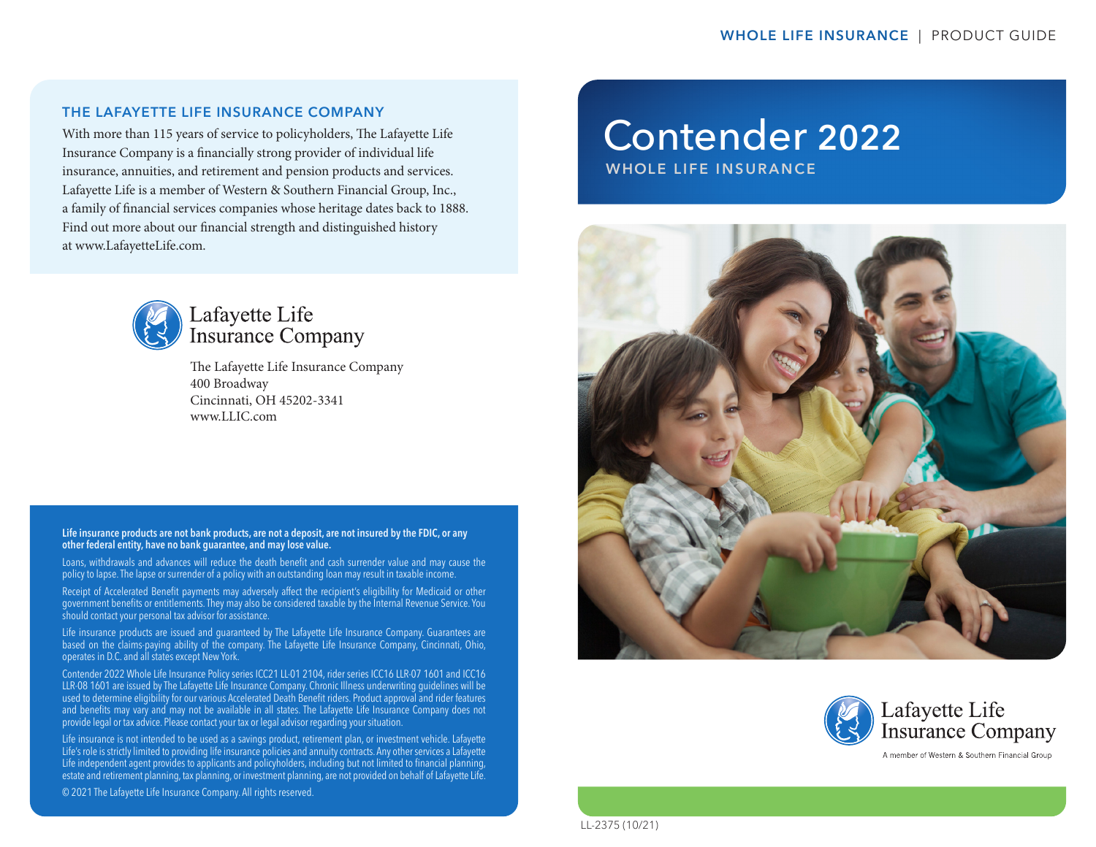### THE LAFAYETTE LIFE INSURANCE COMPANY

With more than 115 years of service to policyholders, The Lafayette Life Insurance Company is a financially strong provider of individual life insurance, annuities, and retirement and pension products and services. Lafayette Life is a member of Western & Southern Financial Group, Inc., a family of financial services companies whose heritage dates back to 1888. Find out more about our financial strength and distinguished history at www.LafayetteLife.com.



# Lafayette Life **Insurance Company**

The Lafayette Life Insurance Company 400 Broadway Cincinnati, OH 45202-3341 www.LLIC.com

#### Life insurance products are not bank products, are not a deposit, are not insured by the FDIC, or any other federal entity, have no bank guarantee, and may lose value.

Loans, withdrawals and advances will reduce the death benefit and cash surrender value and may cause the policy to lapse. The lapse or surrender of a policy with an outstanding loan may result in taxable income.

Receipt of Accelerated Benefit payments may adversely affect the recipient's eligibility for Medicaid or other government benefits or entitlements. They may also be considered taxable by the Internal Revenue Service. You should contact your personal tax advisor for assistance.

Life insurance products are issued and guaranteed by The Lafayette Life Insurance Company. Guarantees are based on the claims-paying ability of the company. The Lafayette Life Insurance Company, Cincinnati, Ohio, operates in D.C. and all states except New York.

Contender 2022 Whole Life Insurance Policy series ICC21 LL-01 2104, rider series ICC16 LLR-07 1601 and ICC16 LLR-08 1601 are issued by The Lafayette Life Insurance Company. Chronic Illness underwriting guidelines will be used to determine eligibility for our various Accelerated Death Benefit riders. Product approval and rider features and benefits may vary and may not be available in all states. The Lafayette Life Insurance Company does not provide legal or tax advice. Please contact your tax or legal advisor regarding your situation.

Life insurance is not intended to be used as a savings product, retirement plan, or investment vehicle. Lafayette Life's role is strictly limited to providing life insurance policies and annuity contracts. Any other services a Lafayette Life independent agent provides to applicants and policyholders, including but not limited to financial planning, estate and retirement planning, tax planning, or investment planning, are not provided on behalf of Lafayette Life. © 2021 The Lafayette Life Insurance Company. All rights reserved.

# Contender 2022

WHOLE LIFE INSURANCE





LL-2375 (10/21)